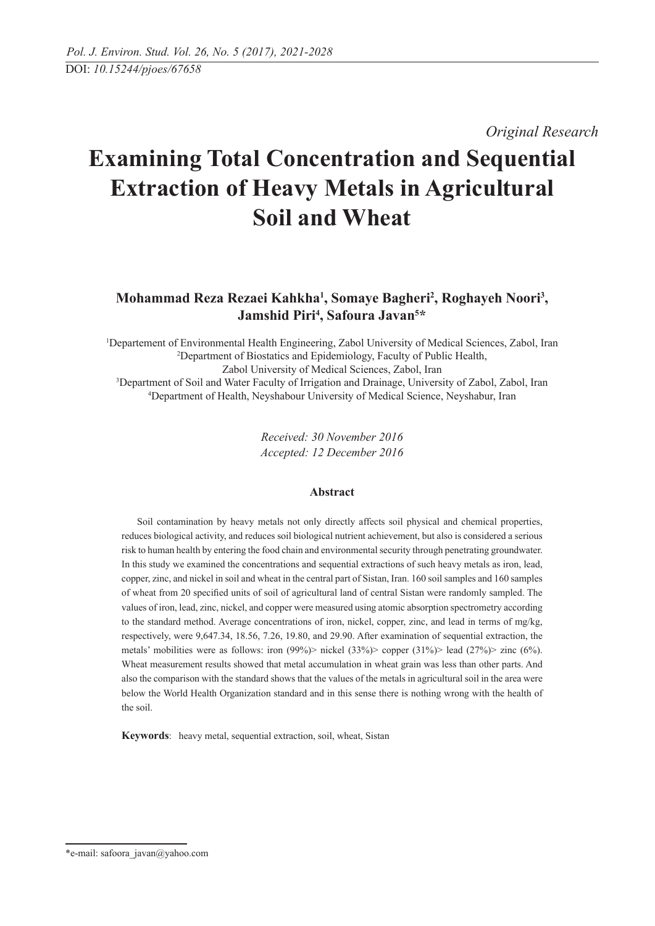*Original Research* 

# **Examining Total Concentration and Sequential Extraction of Heavy Metals in Agricultural Soil and Wheat**

## **Mohammad Reza Rezaei Kahkha1 , Somaye Bagheri2 , Roghayeh Noori3 , Jamshid Piri4 , Safoura Javan5 \***

 Departement of Environmental Health Engineering, Zabol University of Medical Sciences, Zabol, Iran Department of Biostatics and Epidemiology, Faculty of Public Health, Zabol University of Medical Sciences, Zabol, Iran<br><sup>3</sup>Department of Soil and Water Faculty of Irrigation and Drainage, University of Zabol, Zabol, Iran Department of Health, Neyshabour University of Medical Science, Neyshabur, Iran

> *Received: 30 November 2016 Accepted: 12 December 2016*

### **Abstract**

Soil contamination by heavy metals not only directly affects soil physical and chemical properties, reduces biological activity, and reduces soil biological nutrient achievement, but also is considered a serious risk to human health by entering the food chain and environmental security through penetrating groundwater. In this study we examined the concentrations and sequential extractions of such heavy metals as iron, lead, copper, zinc, and nickel in soil and wheat in the central part of Sistan, Iran. 160 soil samples and 160 samples of wheat from 20 specified units of soil of agricultural land of central Sistan were randomly sampled. The values of iron, lead, zinc, nickel, and copper were measured using atomic absorption spectrometry according to the standard method. Average concentrations of iron, nickel, copper, zinc, and lead in terms of mg/kg, respectively, were 9,647.34, 18.56, 7.26, 19.80, and 29.90. After examination of sequential extraction, the metals' mobilities were as follows: iron (99%)> nickel (33%)> copper (31%)> lead (27%)> zinc (6%). Wheat measurement results showed that metal accumulation in wheat grain was less than other parts. And also the comparison with the standard shows that the values of the metals in agricultural soil in the area were below the World Health Organization standard and in this sense there is nothing wrong with the health of the soil.

**Keywords**: heavy metal, sequential extraction, soil, wheat, Sistan

<sup>\*</sup>e-mail: safoora\_javan@yahoo.com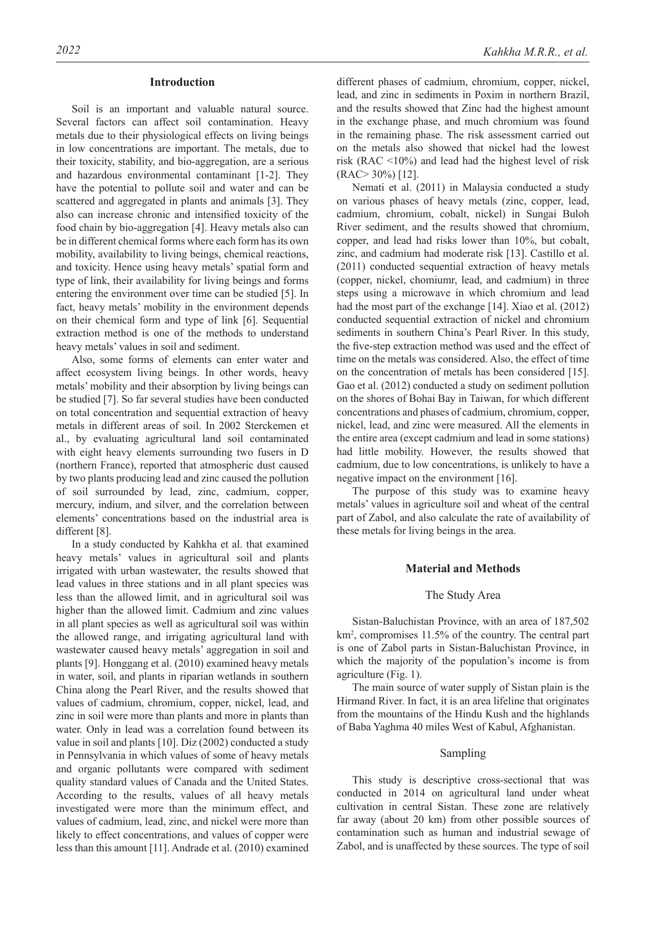#### **Introduction**

Soil is an important and valuable natural source. Several factors can affect soil contamination. Heavy metals due to their physiological effects on living beings in low concentrations are important. The metals, due to their toxicity, stability, and bio-aggregation, are a serious and hazardous environmental contaminant [1-2]. They have the potential to pollute soil and water and can be scattered and aggregated in plants and animals [3]. They also can increase chronic and intensified toxicity of the food chain by bio-aggregation [4]. Heavy metals also can be in different chemical forms where each form has its own mobility, availability to living beings, chemical reactions, and toxicity. Hence using heavy metals' spatial form and type of link, their availability for living beings and forms entering the environment over time can be studied [5]. In fact, heavy metals' mobility in the environment depends on their chemical form and type of link [6]. Sequential extraction method is one of the methods to understand heavy metals' values in soil and sediment.

Also, some forms of elements can enter water and affect ecosystem living beings. In other words, heavy metals' mobility and their absorption by living beings can be studied [7]. So far several studies have been conducted on total concentration and sequential extraction of heavy metals in different areas of soil. In 2002 Sterckemen et al., by evaluating agricultural land soil contaminated with eight heavy elements surrounding two fusers in D (northern France), reported that atmospheric dust caused by two plants producing lead and zinc caused the pollution of soil surrounded by lead, zinc, cadmium, copper, mercury, indium, and silver, and the correlation between elements' concentrations based on the industrial area is different [8].

In a study conducted by Kahkha et al. that examined heavy metals' values in agricultural soil and plants irrigated with urban wastewater, the results showed that lead values in three stations and in all plant species was less than the allowed limit, and in agricultural soil was higher than the allowed limit. Cadmium and zinc values in all plant species as well as agricultural soil was within the allowed range, and irrigating agricultural land with wastewater caused heavy metals' aggregation in soil and plants [9]. Honggang et al. (2010) examined heavy metals in water, soil, and plants in riparian wetlands in southern China along the Pearl River, and the results showed that values of cadmium, chromium, copper, nickel, lead, and zinc in soil were more than plants and more in plants than water. Only in lead was a correlation found between its value in soil and plants [10]. Diz (2002) conducted a study in Pennsylvania in which values of some of heavy metals and organic pollutants were compared with sediment quality standard values of Canada and the United States. According to the results, values of all heavy metals investigated were more than the minimum effect, and values of cadmium, lead, zinc, and nickel were more than likely to effect concentrations, and values of copper were less than this amount [11]. Andrade et al. (2010) examined

different phases of cadmium, chromium, copper, nickel, lead, and zinc in sediments in Poxim in northern Brazil, and the results showed that Zinc had the highest amount in the exchange phase, and much chromium was found in the remaining phase. The risk assessment carried out on the metals also showed that nickel had the lowest risk (RAC <10%) and lead had the highest level of risk (RAC> 30%) [12].

Nemati et al. (2011) in Malaysia conducted a study on various phases of heavy metals (zinc, copper, lead, cadmium, chromium, cobalt, nickel) in Sungai Buloh River sediment, and the results showed that chromium, copper, and lead had risks lower than 10%, but cobalt, zinc, and cadmium had moderate risk [13]. Castillo et al. (2011) conducted sequential extraction of heavy metals (copper, nickel, chomiumr, lead, and cadmium) in three steps using a microwave in which chromium and lead had the most part of the exchange [14]. Xiao et al. (2012) conducted sequential extraction of nickel and chromium sediments in southern China's Pearl River. In this study, the five-step extraction method was used and the effect of time on the metals was considered. Also, the effect of time on the concentration of metals has been considered [15]. Gao et al. (2012) conducted a study on sediment pollution on the shores of Bohai Bay in Taiwan, for which different concentrations and phases of cadmium, chromium, copper, nickel, lead, and zinc were measured. All the elements in the entire area (except cadmium and lead in some stations) had little mobility. However, the results showed that cadmium, due to low concentrations, is unlikely to have a negative impact on the environment [16].

The purpose of this study was to examine heavy metals' values in agriculture soil and wheat of the central part of Zabol, and also calculate the rate of availability of these metals for living beings in the area.

#### **Material and Methods**

#### The Study Area

Sistan-Baluchistan Province, with an area of 187,502 km2 , compromises 11.5% of the country. The central part is one of Zabol parts in Sistan-Baluchistan Province, in which the majority of the population's income is from agriculture (Fig. 1).

The main source of water supply of Sistan plain is the Hirmand River. In fact, it is an area lifeline that originates from the mountains of the Hindu Kush and the highlands of Baba Yaghma 40 miles West of Kabul, Afghanistan.

#### Sampling

This study is descriptive cross-sectional that was conducted in 2014 on agricultural land under wheat cultivation in central Sistan. These zone are relatively far away (about 20 km) from other possible sources of contamination such as human and industrial sewage of Zabol, and is unaffected by these sources. The type of soil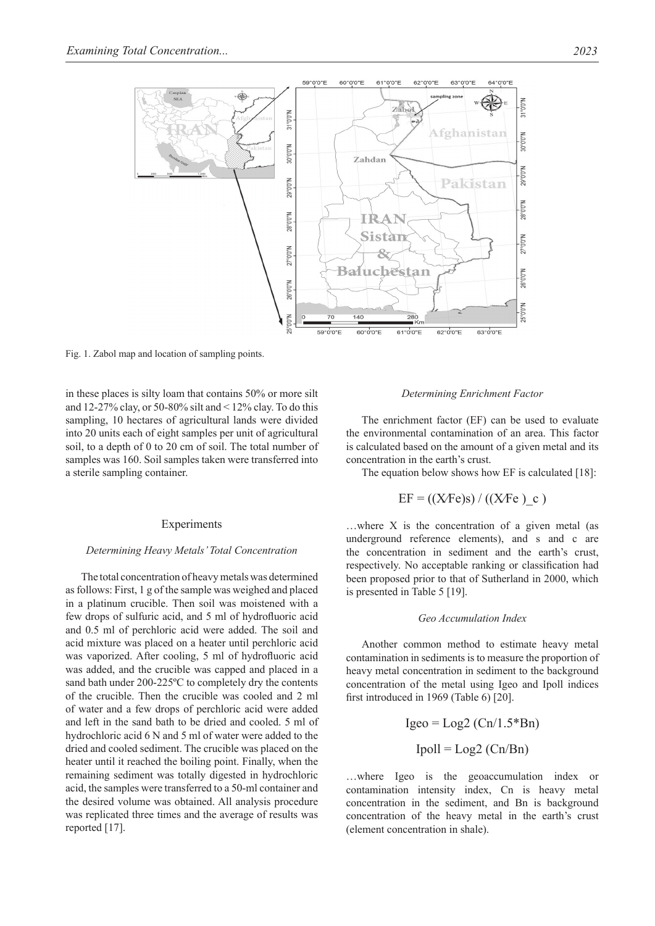

Fig. 1. Zabol map and location of sampling points.

in these places is silty loam that contains 50% or more silt and  $12-27\%$  clay, or 50-80% silt and  $\leq 12\%$  clay. To do this sampling, 10 hectares of agricultural lands were divided into 20 units each of eight samples per unit of agricultural soil, to a depth of 0 to 20 cm of soil. The total number of samples was 160. Soil samples taken were transferred into a sterile sampling container.

#### **Experiments**

#### *Determining heavy metals' total concentration*

The total concentration of heavy metals was determined as follows: First, 1 g of the sample was weighed and placed in a platinum crucible. Then soil was moistened with a few drops of sulfuric acid, and 5 ml of hydrofluoric acid and 0.5 ml of perchloric acid were added. The soil and acid mixture was placed on a heater until perchloric acid was vaporized. After cooling, 5 ml of hydrofluoric acid was added, and the crucible was capped and placed in a sand bath under 200-225ºC to completely dry the contents of the crucible. Then the crucible was cooled and 2 ml of water and a few drops of perchloric acid were added and left in the sand bath to be dried and cooled. 5 ml of hydrochloric acid 6 N and 5 ml of water were added to the dried and cooled sediment. The crucible was placed on the heater until it reached the boiling point. Finally, when the remaining sediment was totally digested in hydrochloric acid, the samples were transferred to a 50-ml container and the desired volume was obtained. All analysis procedure was replicated three times and the average of results was reported [17].

#### *Determining Enrichment Factor*

The enrichment factor (EF) can be used to evaluate the environmental contamination of an area. This factor is calculated based on the amount of a given metal and its concentration in the earth's crust.

The equation below shows how EF is calculated [18]:

$$
EF = ((XFe)s) / ((XFe)_c)
$$

…where X is the concentration of a given metal (as underground reference elements), and s and c are the concentration in sediment and the earth's crust, respectively. No acceptable ranking or classification had been proposed prior to that of Sutherland in 2000, which is presented in Table 5 [19].

#### *Geo accumulation index*

Another common method to estimate heavy metal contamination in sediments is to measure the proportion of heavy metal concentration in sediment to the background concentration of the metal using Igeo and Ipoll indices first introduced in 1969 (Table 6) [20].

Igeo = Log2 (Cn/1.5\*Bn) Ipoll = Log2 (Cn/Bn)

…where Igeo is the geoaccumulation index or contamination intensity index, Cn is heavy metal concentration in the sediment, and Bn is background concentration of the heavy metal in the earth's crust (element concentration in shale).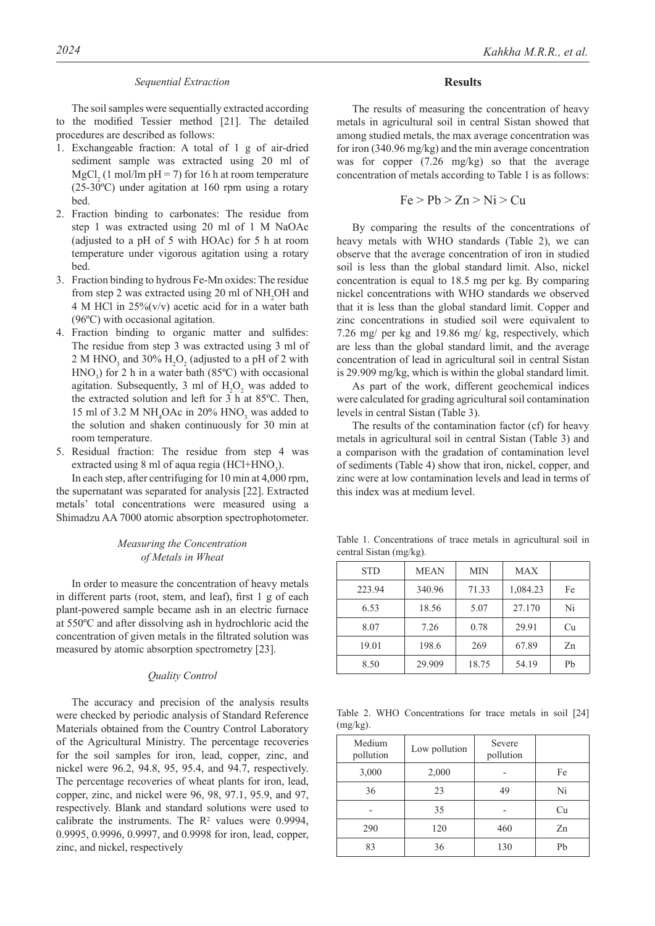#### *Sequential extraction*

The soil samples were sequentially extracted according to the modified Tessier method [21]. The detailed procedures are described as follows:

- 1. Exchangeable fraction: A total of 1 g of air-dried sediment sample was extracted using 20 ml of  $MgCl<sub>2</sub>$  (1 mol/lm pH = 7) for 16 h at room temperature (25-30ºC) under agitation at 160 rpm using a rotary bed.
- 2. Fraction binding to carbonates: The residue from step 1 was extracted using 20 ml of 1 M NaOAc (adjusted to a pH of 5 with HOAc) for 5 h at room temperature under vigorous agitation using a rotary bed.
- 3. Fraction binding to hydrous Fe-Mn oxides: The residue from step 2 was extracted using 20 ml of  $NH<sub>2</sub>OH$  and 4 M HCl in 25%(v/v) acetic acid for in a water bath (96ºC) with occasional agitation.
- 4. Fraction binding to organic matter and sulfides: The residue from step 3 was extracted using 3 ml of 2 M HNO<sub>3</sub> and 30%  $H_2O_2$  (adjusted to a pH of 2 with  $HNO<sub>3</sub>$ ) for 2 h in a water bath (85°C) with occasional agitation. Subsequently, 3 ml of  $H_2O_2$  was added to the extracted solution and left for 3 h at 85ºC. Then, 15 ml of 3.2 M NH<sub>4</sub>OAc in 20% HNO<sub>3</sub> was added to the solution and shaken continuously for 30 min at room temperature.
- 5. Residual fraction: The residue from step 4 was extracted using 8 ml of aqua regia (HCl+HNO<sub>3</sub>).

In each step, after centrifuging for 10 min at 4,000 rpm, the supernatant was separated for analysis [22]. Extracted metals' total concentrations were measured using a Shimadzu AA 7000 atomic absorption spectrophotometer.

#### *Measuring the concentration of metals in wheat*

In order to measure the concentration of heavy metals in different parts (root, stem, and leaf), first 1 g of each plant-powered sample became ash in an electric furnace at 550ºC and after dissolving ash in hydrochloric acid the concentration of given metals in the filtrated solution was measured by atomic absorption spectrometry [23].

#### *Quality Control*

The accuracy and precision of the analysis results were checked by periodic analysis of Standard Reference Materials obtained from the Country Control Laboratory of the Agricultural Ministry. The percentage recoveries for the soil samples for iron, lead, copper, zinc, and nickel were 96.2, 94.8, 95, 95.4, and 94.7, respectively. The percentage recoveries of wheat plants for iron, lead, copper, zinc, and nickel were 96, 98, 97.1, 95.9, and 97, respectively. Blank and standard solutions were used to calibrate the instruments. The  $\mathbb{R}^2$  values were 0.9994, 0.9995, 0.9996, 0.9997, and 0.9998 for iron, lead, copper, zinc, and nickel, respectively

#### **Results**

The results of measuring the concentration of heavy metals in agricultural soil in central Sistan showed that among studied metals, the max average concentration was for iron (340.96 mg/kg) and the min average concentration was for copper (7.26 mg/kg) so that the average concentration of metals according to Table 1 is as follows:

$$
Fe > Pb > Zn > Ni > Cu
$$

By comparing the results of the concentrations of heavy metals with WHO standards (Table 2), we can observe that the average concentration of iron in studied soil is less than the global standard limit. Also, nickel concentration is equal to 18.5 mg per kg. By comparing nickel concentrations with WHO standards we observed that it is less than the global standard limit. Copper and zinc concentrations in studied soil were equivalent to 7.26 mg/ per kg and 19.86 mg/ kg, respectively, which are less than the global standard limit, and the average concentration of lead in agricultural soil in central Sistan is 29.909 mg/kg, which is within the global standard limit.

As part of the work, different geochemical indices were calculated for grading agricultural soil contamination levels in central Sistan (Table 3).

The results of the contamination factor (cf) for heavy metals in agricultural soil in central Sistan (Table 3) and a comparison with the gradation of contamination level of sediments (Table 4) show that iron, nickel, copper, and zinc were at low contamination levels and lead in terms of this index was at medium level.

Table 1. Concentrations of trace metals in agricultural soil in central Sistan (mg/kg).

| <b>STD</b> | <b>MEAN</b> | <b>MIN</b> | <b>MAX</b> |    |
|------------|-------------|------------|------------|----|
| 223.94     | 340.96      | 71.33      | 1,084.23   | Fe |
| 6.53       | 18.56       | 5.07       | 27.170     | Ni |
| 8.07       | 7.26        | 0.78       | 29.91      | Cu |
| 19.01      | 198.6       | 269        | 67.89      | Zn |
| 8.50       | 29.909      | 18.75      | 54.19      | Pb |

Table 2. WHO Concentrations for trace metals in soil [24]  $(mg/kg)$ .

| Medium<br>pollution | Low pollution | Severe<br>pollution |    |
|---------------------|---------------|---------------------|----|
| 3,000               | 2,000         |                     | Fe |
| 36                  | 23            | 49                  | Ni |
|                     | 35            |                     | Cu |
| 290                 | 120           | 460                 | Zn |
| 83                  | 36            | 130                 | Pb |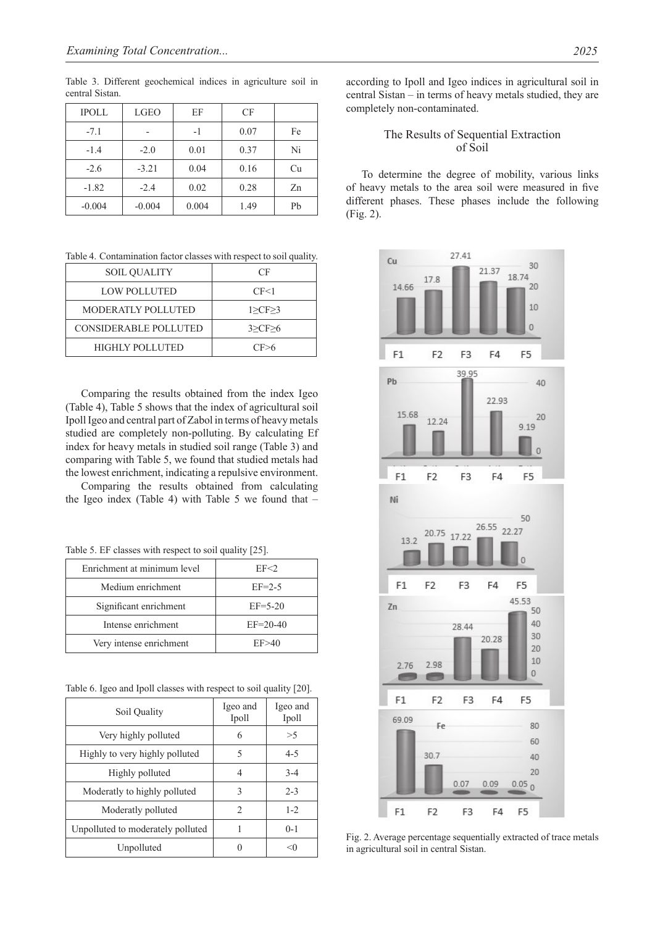Table 3. Different geochemical indices in agriculture soil in central Sistan.

| <b>IPOLL</b> | <b>LGEO</b> | EF    | CF   |    |
|--------------|-------------|-------|------|----|
| $-7.1$       |             | $-1$  | 0.07 | Fe |
| $-1.4$       | $-2.0$      | 0.01  | 0.37 | Ni |
| $-2.6$       | $-3.21$     | 0.04  | 0.16 | Cu |
| $-1.82$      | $-2.4$      | 0.02  | 0.28 | Zn |
| $-0.004$     | $-0.004$    | 0.004 | 1.49 | Pb |

Table 4. Contamination factor classes with respect to soil quality.

| <b>SOIL QUALITY</b>          | CF         |
|------------------------------|------------|
| LOW POLLUTED                 | CF<1       |
| <b>MODERATLY POLLUTED</b>    | 1 > CF > 3 |
| <b>CONSIDERABLE POLLUTED</b> | 3 > CF > 6 |
| <b>HIGHLY POLLUTED</b>       | CF > 6     |

Comparing the results obtained from the index Igeo (Table 4), Table 5 shows that the index of agricultural soil Ipoll Igeo and central part of Zabol in terms of heavy metals studied are completely non-polluting. By calculating Ef index for heavy metals in studied soil range (Table 3) and comparing with Table 5, we found that studied metals had the lowest enrichment, indicating a repulsive environment.

Comparing the results obtained from calculating the Igeo index (Table 4) with Table 5 we found that  $-$ 

Table 5. EF classes with respect to soil quality [25].

| Enrichment at minimum level | EF < 2        |  |
|-----------------------------|---------------|--|
| Medium enrichment           | $EF=2-5$      |  |
| Significant enrichment      | $EF = 5 - 20$ |  |
| Intense enrichment          | $EF=20-40$    |  |
| Very intense enrichment     | EF > 40       |  |

Table 6. Igeo and Ipoll classes with respect to soil quality [20].

| Soil Quality                      | Igeo and<br>Ipoll             | Igeo and<br>Ipoll |
|-----------------------------------|-------------------------------|-------------------|
| Very highly polluted              | 6                             | >5                |
| Highly to very highly polluted    | 5                             | $4 - 5$           |
| Highly polluted                   | 4                             | $3 - 4$           |
| Moderatly to highly polluted      | 3                             | $2 - 3$           |
| Moderatly polluted                | $\mathfrak{D}_{\mathfrak{p}}$ | $1 - 2$           |
| Unpolluted to moderately polluted |                               | $0-1$             |
| Unpolluted                        |                               |                   |

according to Ipoll and Igeo indices in agricultural soil in central Sistan – in terms of heavy metals studied, they are completely non-contaminated.

#### The Results of Sequential Extraction of soil

To determine the degree of mobility, various links of heavy metals to the area soil were measured in five different phases. These phases include the following (Fig. 2).



Fig. 2. Average percentage sequentially extracted of trace metals in agricultural soil in central Sistan.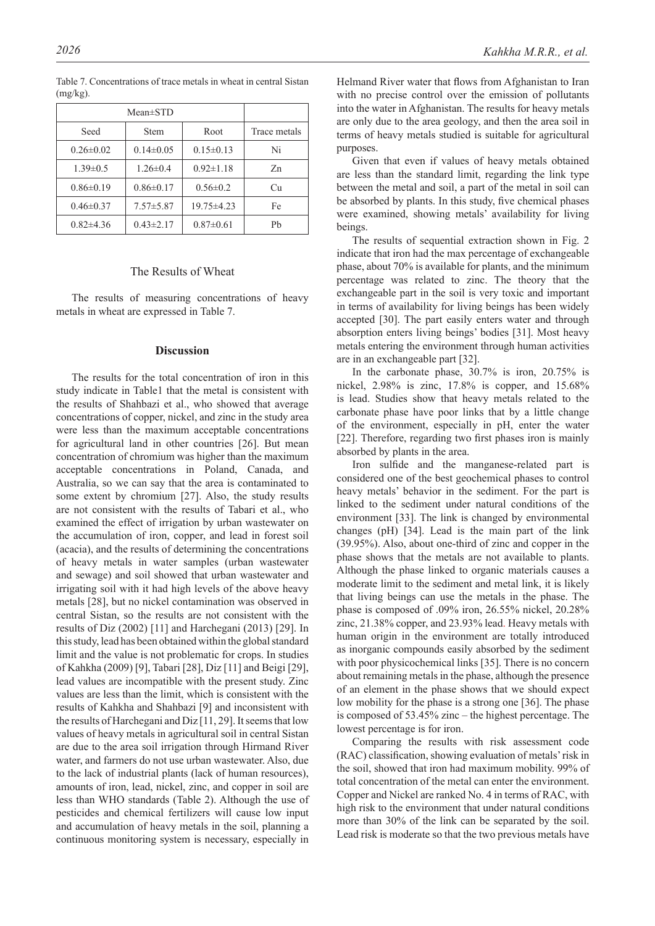|                 | $Mean \pm STD$  |                 |              |
|-----------------|-----------------|-----------------|--------------|
| Seed            | <b>Stem</b>     | Root            | Trace metals |
| $0.26 \pm 0.02$ | $0.14\pm0.05$   | $0.15 \pm 0.13$ | Ni           |
| $1.39 \pm 0.5$  | $1.26 \pm 0.4$  | $0.92 \pm 1.18$ | Zn           |
| $0.86 \pm 0.19$ | $0.86 \pm 0.17$ | $0.56 \pm 0.2$  | Cu           |
| $0.46 \pm 0.37$ | $7.57 \pm 5.87$ | 19.75 ± 4.23    | Fe           |
| $0.82{\pm}4.36$ | $0.43 \pm 2.17$ | $0.87 \pm 0.61$ | Ph           |

Table 7. Concentrations of trace metals in wheat in central Sistan  $(mg/kg)$ .

#### The Results of Wheat

The results of measuring concentrations of heavy metals in wheat are expressed in Table 7.

#### **Discussion**

The results for the total concentration of iron in this study indicate in Table1 that the metal is consistent with the results of Shahbazi et al., who showed that average concentrations of copper, nickel, and zinc in the study area were less than the maximum acceptable concentrations for agricultural land in other countries [26]. But mean concentration of chromium was higher than the maximum acceptable concentrations in Poland, Canada, and Australia, so we can say that the area is contaminated to some extent by chromium [27]. Also, the study results are not consistent with the results of Tabari et al., who examined the effect of irrigation by urban wastewater on the accumulation of iron, copper, and lead in forest soil (acacia), and the results of determining the concentrations of heavy metals in water samples (urban wastewater and sewage) and soil showed that urban wastewater and irrigating soil with it had high levels of the above heavy metals [28], but no nickel contamination was observed in central Sistan, so the results are not consistent with the results of Diz (2002) [11] and Harchegani (2013) [29]. In this study, lead has been obtained within the global standard limit and the value is not problematic for crops. In studies of Kahkha (2009) [9], Tabari [28], Diz [11] and Beigi [29], lead values are incompatible with the present study. Zinc values are less than the limit, which is consistent with the results of Kahkha and Shahbazi [9] and inconsistent with the results of Harchegani and Diz [11, 29]. It seems that low values of heavy metals in agricultural soil in central Sistan are due to the area soil irrigation through Hirmand River water, and farmers do not use urban wastewater. Also, due to the lack of industrial plants (lack of human resources), amounts of iron, lead, nickel, zinc, and copper in soil are less than WHO standards (Table 2). Although the use of pesticides and chemical fertilizers will cause low input and accumulation of heavy metals in the soil, planning a continuous monitoring system is necessary, especially in

Helmand River water that flows from Afghanistan to Iran with no precise control over the emission of pollutants into the water in Afghanistan. The results for heavy metals are only due to the area geology, and then the area soil in terms of heavy metals studied is suitable for agricultural purposes.

Given that even if values of heavy metals obtained are less than the standard limit, regarding the link type between the metal and soil, a part of the metal in soil can be absorbed by plants. In this study, five chemical phases were examined, showing metals' availability for living beings.

The results of sequential extraction shown in Fig. 2 indicate that iron had the max percentage of exchangeable phase, about 70% is available for plants, and the minimum percentage was related to zinc. The theory that the exchangeable part in the soil is very toxic and important in terms of availability for living beings has been widely accepted [30]. The part easily enters water and through absorption enters living beings' bodies [31]. Most heavy metals entering the environment through human activities are in an exchangeable part [32].

In the carbonate phase, 30.7% is iron, 20.75% is nickel, 2.98% is zinc, 17.8% is copper, and 15.68% is lead. Studies show that heavy metals related to the carbonate phase have poor links that by a little change of the environment, especially in pH, enter the water [22]. Therefore, regarding two first phases iron is mainly absorbed by plants in the area.

Iron sulfide and the manganese-related part is considered one of the best geochemical phases to control heavy metals' behavior in the sediment. For the part is linked to the sediment under natural conditions of the environment [33]. The link is changed by environmental changes (pH) [34]. Lead is the main part of the link (39.95%). Also, about one-third of zinc and copper in the phase shows that the metals are not available to plants. Although the phase linked to organic materials causes a moderate limit to the sediment and metal link, it is likely that living beings can use the metals in the phase. The phase is composed of .09% iron, 26.55% nickel, 20.28% zinc, 21.38% copper, and 23.93% lead. Heavy metals with human origin in the environment are totally introduced as inorganic compounds easily absorbed by the sediment with poor physicochemical links [35]. There is no concern about remaining metals in the phase, although the presence of an element in the phase shows that we should expect low mobility for the phase is a strong one [36]. The phase is composed of 53.45% zinc – the highest percentage. The lowest percentage is for iron.

Comparing the results with risk assessment code (RAC) classification, showing evaluation of metals' risk in the soil, showed that iron had maximum mobility. 99% of total concentration of the metal can enter the environment. Copper and Nickel are ranked No. 4 in terms of RAC, with high risk to the environment that under natural conditions more than 30% of the link can be separated by the soil. Lead risk is moderate so that the two previous metals have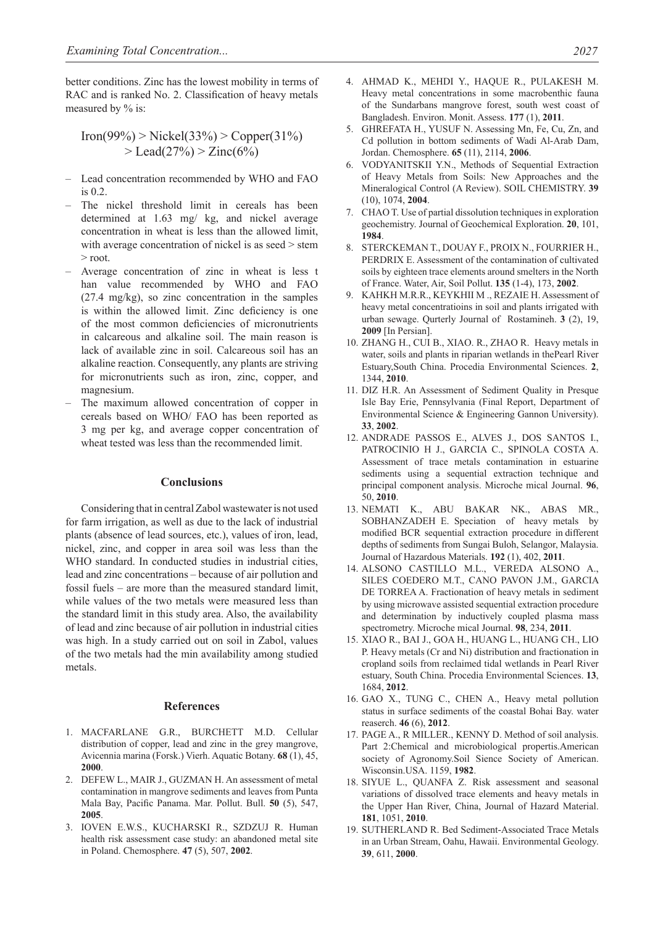better conditions. Zinc has the lowest mobility in terms of RAC and is ranked No. 2. Classification of heavy metals measured by % is:

 $Iron(99\%) > Nickel(33\%) > Copper(31\%)$  $>$  Lead(27%)  $>$  Zinc(6%)

- Lead concentration recommended by WHO and FAO is 0.2.
- The nickel threshold limit in cereals has been determined at 1.63 mg/ kg, and nickel average concentration in wheat is less than the allowed limit, with average concentration of nickel is as seed  $>$  stem > root.
- Average concentration of zinc in wheat is less t han value recommended by WHO and FAO (27.4 mg/kg), so zinc concentration in the samples is within the allowed limit. Zinc deficiency is one of the most common deficiencies of micronutrients in calcareous and alkaline soil. The main reason is lack of available zinc in soil. Calcareous soil has an alkaline reaction. Consequently, any plants are striving for micronutrients such as iron, zinc, copper, and magnesium.
- The maximum allowed concentration of copper in cereals based on WHO/ FAO has been reported as 3 mg per kg, and average copper concentration of wheat tested was less than the recommended limit.

#### **Conclusions**

Considering that in central Zabol wastewater is not used for farm irrigation, as well as due to the lack of industrial plants (absence of lead sources, etc.), values of iron, lead, nickel, zinc, and copper in area soil was less than the WHO standard. In conducted studies in industrial cities, lead and zinc concentrations – because of air pollution and fossil fuels – are more than the measured standard limit, while values of the two metals were measured less than the standard limit in this study area. Also, the availability of lead and zinc because of air pollution in industrial cities was high. In a study carried out on soil in Zabol, values of the two metals had the min availability among studied metals.

#### **References**

- 1. MACFARLANE G.R., BURCHETT M.D. Cellular distribution of copper, lead and zinc in the grey mangrove. Avicennia marina (Forsk.) Vierh. Aquatic Botany. **68** (1), 45, **2000**.
- 2. DEFEW L., MAIR J., GUZMAN H. An assessment of metal contamination in mangrove sediments and leaves from Punta Mala Bay, Pacific Panama. Mar. Pollut. Bull. **50** (5), 547, **2005**.
- 3. IOVEN E.W.S., KUCHARSKI R., SZDZUJ R. Human health risk assessment case study: an abandoned metal site in Poland. Chemosphere. **47** (5), 507, **2002**.
- 4. AHMAD K., MEHDI Y., HAQUE R., PULAKESH M. Heavy metal concentrations in some macrobenthic fauna of the Sundarbans mangrove forest, south west coast of Bangladesh. Environ. Monit. Assess. **177** (1), **2011**.
- 5. GHREFATA H., YUSUF N. Assessing Mn, Fe, Cu, Zn, and Cd pollution in bottom sediments of Wadi Al-Arab Dam, Jordan. Chemosphere. **65** (11), 2114, **2006**.
- 6. VODYANITSKII Y.N., Methods of Sequential Extraction of Heavy Metals from Soils: New Approaches and the Mineralogical Control (A Review). SOIL CHEMISTRY. **39**  (10), 1074, **2004**.
- 7. CHAO T. Use of partial dissolution techniques in exploration geochemistry. Journal of Geochemical Exploration. **20**, 101, **1984**.
- 8. STERCKEMAN T., DOUAY F., PROIX N., FOURRIER H., PERDRIX E. Assessment of the contamination of cultivated soils by eighteen trace elements around smelters in the North of France. Water, Air, Soil Pollut. **135** (1-4), 173, **2002**.
- 9. KAHKH M.R.R., KEYKHII M ., REZAIE H. Assessment of heavy metal concentratioins in soil and plants irrigated with urban sewage. Qurterly Journal of Rostamineh. **3** (2), 19, **2009** [In Persian].
- 10. ZHANG H., CUI B., XIAO. R., ZHAO R. Heavy metals in water, soils and plants in riparian wetlands in thePearl River Estuary,South China. Procedia Environmental Sciences. **2**, 1344, **2010**.
- 11. DIZ H.R. An Assessment of Sediment Quality in Presque Isle Bay Erie, Pennsylvania (Final Report, Department of Environmental Science & Engineering Gannon University). **33**, **2002**.
- 12. ANDRADE PASSOS E., ALVES J., DOS SANTOS I., PATROCINIO H J., GARCIA C., SPINOLA COSTA A. Assessment of trace metals contamination in estuarine sediments using a sequential extraction technique and principal component analysis. Microche mical Journal. **96**, 50, **2010**.
- 13. NEMATI K., ABU BAKAR NK., ABAS MR., SOBHANZADEH E. Speciation of heavy metals by modified BCR sequential extraction procedure in different depths of sediments from Sungai Buloh, Selangor, Malaysia. Journal of Hazardous Materials. **192** (1), 402, **2011**.
- 14. ALSONO CASTILLO M.L., VEREDA ALSONO A., SILES COEDERO M.T., CANO PAVON J.M., GARCIA DE TORREA A. Fractionation of heavy metals in sediment by using microwave assisted sequential extraction procedure and determination by inductively coupled plasma mass spectrometry. Microche mical Journal. **98**, 234, **2011**.
- 15. XIAO R., BAI J., GOA H., HUANG L., HUANG CH., LIO P. Heavy metals (Cr and Ni) distribution and fractionation in cropland soils from reclaimed tidal wetlands in Pearl River estuary, South China. Procedia Environmental Sciences. **13**, 1684, **2012**.
- 16. GAO X., TUNG C., CHEN A., Heavy metal pollution status in surface sediments of the coastal Bohai Bay. water reaserch. **46** (6), **2012**.
- 17. PAGE A., R MILLER., KENNY D. Method of soil analysis. Part 2:Chemical and microbiological propertis.American society of Agronomy.Soil Sience Society of American. Wisconsin.USA. 1159, **1982**.
- 18. SIYUE L., QUANFA Z. Risk assessment and seasonal variations of dissolved trace elements and heavy metals in the Upper Han River, China, Journal of Hazard Material. **181**, 1051, **2010**.
- 19. SUTHERLAND R. Bed Sediment-Associated Trace Metals in an Urban Stream, Oahu, Hawaii. Environmental Geology. **39**, 611, **2000**.